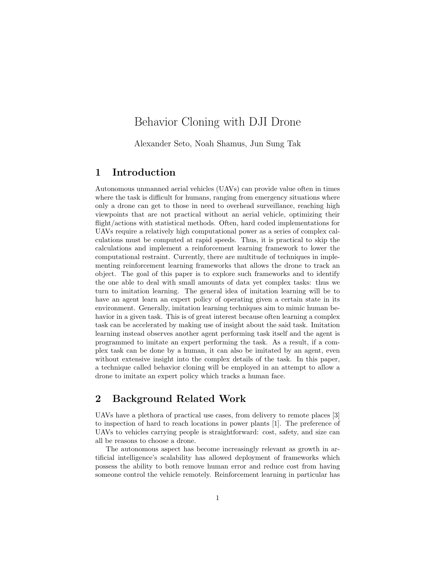# Behavior Cloning with DJI Drone

Alexander Seto, Noah Shamus, Jun Sung Tak

### 1 Introduction

Autonomous unmanned aerial vehicles (UAVs) can provide value often in times where the task is difficult for humans, ranging from emergency situations where only a drone can get to those in need to overhead surveillance, reaching high viewpoints that are not practical without an aerial vehicle, optimizing their flight/actions with statistical methods. Often, hard coded implementations for UAVs require a relatively high computational power as a series of complex calculations must be computed at rapid speeds. Thus, it is practical to skip the calculations and implement a reinforcement learning framework to lower the computational restraint. Currently, there are multitude of techniques in implementing reinforcement learning frameworks that allows the drone to track an object. The goal of this paper is to explore such frameworks and to identify the one able to deal with small amounts of data yet complex tasks: thus we turn to imitation learning. The general idea of imitation learning will be to have an agent learn an expert policy of operating given a certain state in its environment. Generally, imitation learning techniques aim to mimic human behavior in a given task. This is of great interest because often learning a complex task can be accelerated by making use of insight about the said task. Imitation learning instead observes another agent performing task itself and the agent is programmed to imitate an expert performing the task. As a result, if a complex task can be done by a human, it can also be imitated by an agent, even without extensive insight into the complex details of the task. In this paper, a technique called behavior cloning will be employed in an attempt to allow a drone to imitate an expert policy which tracks a human face.

### 2 Background Related Work

UAVs have a plethora of practical use cases, from delivery to remote places [3] to inspection of hard to reach locations in power plants [1]. The preference of UAVs to vehicles carrying people is straightforward: cost, safety, and size can all be reasons to choose a drone.

The autonomous aspect has become increasingly relevant as growth in artificial intelligence's scalability has allowed deployment of frameworks which possess the ability to both remove human error and reduce cost from having someone control the vehicle remotely. Reinforcement learning in particular has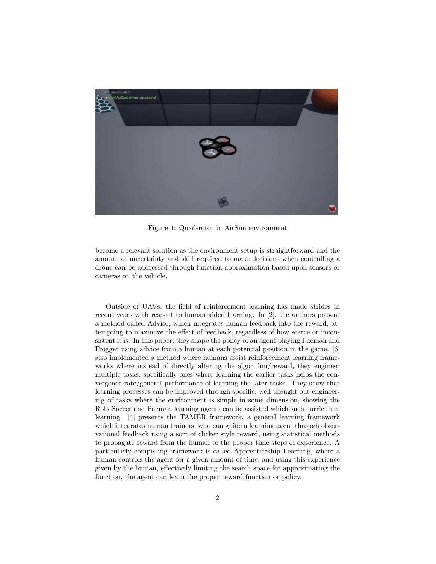

Figure 1: Quad-rotor in AirSim environment

become a relevant solution as the environment setup is straightforward and the amount of uncertainty and skill required to make decisions when controlling a drone can be addressed through function approximation based upon sensors or cameras on the vehicle.

Outside of UAVs, the field of reinforcement learning has made strides in recent years with respect to human aided learning. In [2], the authors present a method called Advise, which integrates human feedback into the reward, attempting to maximize the effect of feedback, regardless of how scarce or inconsistent it is. In this paper, they shape the policy of an agent playing Pacman and Frogger using advice from a human at each potential position in the game. [6] also implemented a method where humans assist reinforcement learning frameworks where instead of directly altering the algorithm/reward, they engineer multiple tasks, specifically ones where learning the earlier tasks helps the convergence rate/general performance of learning the later tasks. They show that learning processes can be improved through specific, well thought out engineering of tasks where the environment is simple in some dimension, showing the RoboSoccer and Pacman learning agents can be assisted which such curriculum learning. [4] presents the TAMER framework, a general learning framework which integrates human trainers, who can guide a learning agent through observational feedback using a sort of clicker style reward, using statistical methods to propagate reward from the human to the proper time steps of experience. A particularly compelling framework is called Apprenticeship Learning, where a human controls the agent for a given amount of time, and using this experience given by the human, effectively limiting the search space for approximating the function, the agent can learn the proper reward function or policy.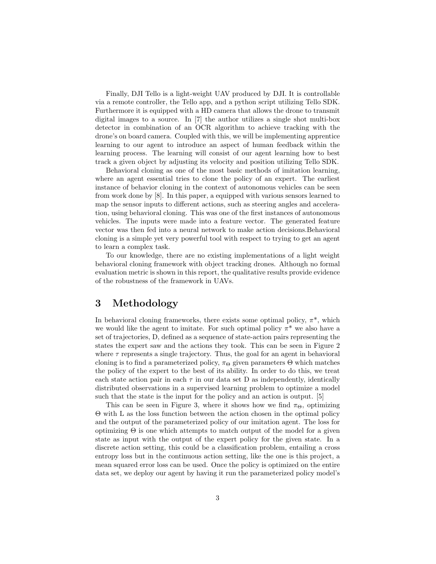Finally, DJI Tello is a light-weight UAV produced by DJI. It is controllable via a remote controller, the Tello app, and a python script utilizing Tello SDK. Furthermore it is equipped with a HD camera that allows the drone to transmit digital images to a source. In [7] the author utilizes a single shot multi-box detector in combination of an OCR algorithm to achieve tracking with the drone's on board camera. Coupled with this, we will be implementing apprentice learning to our agent to introduce an aspect of human feedback within the learning process. The learning will consist of our agent learning how to best track a given object by adjusting its velocity and position utilizing Tello SDK.

Behavioral cloning as one of the most basic methods of imitation learning, where an agent essential tries to clone the policy of an expert. The earliest instance of behavior cloning in the context of autonomous vehicles can be seen from work done by [8]. In this paper, a equipped with various sensors learned to map the sensor inputs to different actions, such as steering angles and acceleration, using behavioral cloning. This was one of the first instances of autonomous vehicles. The inputs were made into a feature vector. The generated feature vector was then fed into a neural network to make action decisions.Behavioral cloning is a simple yet very powerful tool with respect to trying to get an agent to learn a complex task.

To our knowledge, there are no existing implementations of a light weight behavioral cloning framework with object tracking drones. Although no formal evaluation metric is shown in this report, the qualitative results provide evidence of the robustness of the framework in UAVs.

### 3 Methodology

In behavioral cloning frameworks, there exists some optimal policy,  $\pi^*$ , which we would like the agent to imitate. For such optimal policy  $\pi^*$  we also have a set of trajectories, D, defined as a sequence of state-action pairs representing the states the expert saw and the actions they took. This can be seen in Figure 2 where  $\tau$  represents a single trajectory. Thus, the goal for an agent in behavioral cloning is to find a parameterized policy,  $\pi_{\Theta}$  given parameters  $\Theta$  which matches the policy of the expert to the best of its ability. In order to do this, we treat each state action pair in each  $\tau$  in our data set D as independently, identically distributed observations in a supervised learning problem to optimize a model such that the state is the input for the policy and an action is output. [5]

This can be seen in Figure 3, where it shows how we find  $\pi_{\Theta}$ , optimizing Θ with L as the loss function between the action chosen in the optimal policy and the output of the parameterized policy of our imitation agent. The loss for optimizing  $\Theta$  is one which attempts to match output of the model for a given state as input with the output of the expert policy for the given state. In a discrete action setting, this could be a classification problem, entailing a cross entropy loss but in the continuous action setting, like the one is this project, a mean squared error loss can be used. Once the policy is optimized on the entire data set, we deploy our agent by having it run the parameterized policy model's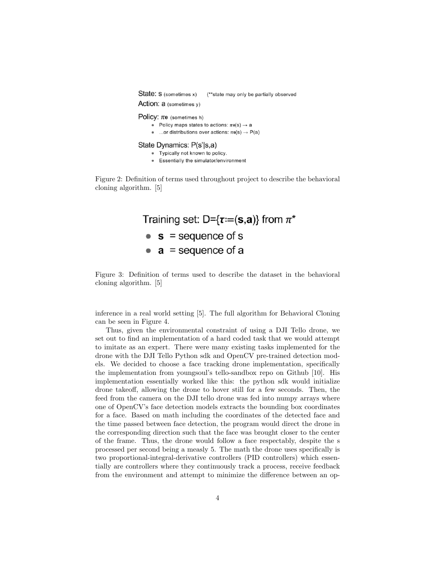State: S (sometimes x) (\*\*state may only be partially observed Action: a (sometimes v)

Policy:  $\pi\theta$  (sometimes h)

• Policy maps states to actions:  $\pi\theta(s) \rightarrow a$ 

• ...or distributions over actions:  $\pi\theta(s) \rightarrow P(a)$ 

#### State Dynamics: P(s'|s,a)

- Typically not known to policy.
- Essentially the simulator/environment

Figure 2: Definition of terms used throughout project to describe the behavioral cloning algorithm. [5]



Figure 3: Definition of terms used to describe the dataset in the behavioral cloning algorithm. [5]

inference in a real world setting [5]. The full algorithm for Behavioral Cloning can be seen in Figure 4.

Thus, given the environmental constraint of using a DJI Tello drone, we set out to find an implementation of a hard coded task that we would attempt to imitate as an expert. There were many existing tasks implemented for the drone with the DJI Tello Python sdk and OpenCV pre-trained detection models. We decided to choose a face tracking drone implementation, specifically the implementation from youngsoul's tello-sandbox repo on Github [10]. His implementation essentially worked like this: the python sdk would initialize drone takeoff, allowing the drone to hover still for a few seconds. Then, the feed from the camera on the DJI tello drone was fed into numpy arrays where one of OpenCV's face detection models extracts the bounding box coordinates for a face. Based on math including the coordinates of the detected face and the time passed between face detection, the program would direct the drone in the corresponding direction such that the face was brought closer to the center of the frame. Thus, the drone would follow a face respectably, despite the s processed per second being a measly 5. The math the drone uses specifically is two proportional-integral-derivative controllers (PID controllers) which essentially are controllers where they continuously track a process, receive feedback from the environment and attempt to minimize the difference between an op-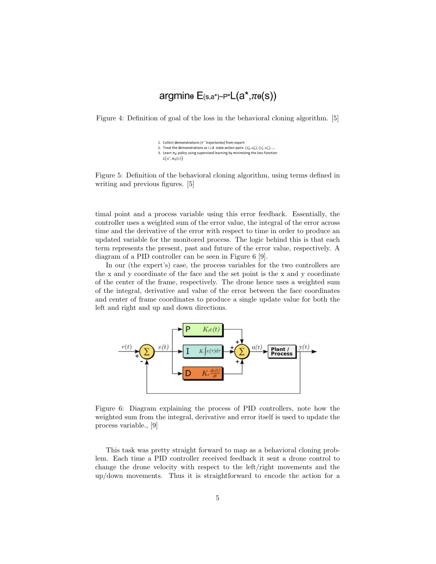# argmine  $E(s,a^*)\sim P^*L(a^*,\pi_{\theta}(s))$

Figure 4: Definition of goal of the loss in the behavioral cloning algorithm. [5]

- 1. Collect demonstrations ( $\tau^*$  trajectories) from exper
- 2. Treat the demonstrations as i.i.d. state-action pairs:  $(s_0^*, a_0^*), (s_1^*, a_1^*), ...$ 3. Learn  $\pi_{\theta}$  policy using supervised learning by minimizing the loss function
- $L(a^*, \pi_\theta(s))$

Figure 5: Definition of the behavioral cloning algorithm, using terms defined in writing and previous figures. [5]

timal point and a process variable using this error feedback. Essentially, the controller uses a weighted sum of the error value, the integral of the error across time and the derivative of the error with respect to time in order to produce an updated variable for the monitored process. The logic behind this is that each term represents the present, past and future of the error value, respectively. A diagram of a PID controller can be seen in Figure 6 [9].

In our (the expert's) case, the process variables for the two controllers are the x and y coordinate of the face and the set point is the x and y coordinate of the center of the frame, respectively. The drone hence uses a weighted sum of the integral, derivative and value of the error between the face coordinates and center of frame coordinates to produce a single update value for both the left and right and up and down directions.



Figure 6: Diagram explaining the process of PID controllers, note how the weighted sum from the integral, derivative and error itself is used to update the process variable., [9]

This task was pretty straight forward to map as a behavioral cloning problem. Each time a PID controller received feedback it sent a drone control to change the drone velocity with respect to the left/right movements and the up/down movements. Thus it is straightforward to encode the action for a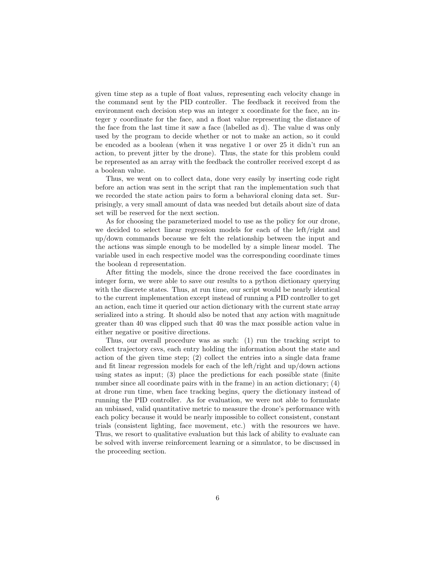given time step as a tuple of float values, representing each velocity change in the command sent by the PID controller. The feedback it received from the environment each decision step was an integer x coordinate for the face, an integer y coordinate for the face, and a float value representing the distance of the face from the last time it saw a face (labelled as d). The value d was only used by the program to decide whether or not to make an action, so it could be encoded as a boolean (when it was negative 1 or over 25 it didn't run an action, to prevent jitter by the drone). Thus, the state for this problem could be represented as an array with the feedback the controller received except d as a boolean value.

Thus, we went on to collect data, done very easily by inserting code right before an action was sent in the script that ran the implementation such that we recorded the state action pairs to form a behavioral cloning data set. Surprisingly, a very small amount of data was needed but details about size of data set will be reserved for the next section.

As for choosing the parameterized model to use as the policy for our drone, we decided to select linear regression models for each of the left/right and up/down commands because we felt the relationship between the input and the actions was simple enough to be modelled by a simple linear model. The variable used in each respective model was the corresponding coordinate times the boolean d representation.

After fitting the models, since the drone received the face coordinates in integer form, we were able to save our results to a python dictionary querying with the discrete states. Thus, at run time, our script would be nearly identical to the current implementation except instead of running a PID controller to get an action, each time it queried our action dictionary with the current state array serialized into a string. It should also be noted that any action with magnitude greater than 40 was clipped such that 40 was the max possible action value in either negative or positive directions.

Thus, our overall procedure was as such: (1) run the tracking script to collect trajectory csvs, each entry holding the information about the state and action of the given time step; (2) collect the entries into a single data frame and fit linear regression models for each of the left/right and up/down actions using states as input; (3) place the predictions for each possible state (finite number since all coordinate pairs with in the frame) in an action dictionary; (4) at drone run time, when face tracking begins, query the dictionary instead of running the PID controller. As for evaluation, we were not able to formulate an unbiased, valid quantitative metric to measure the drone's performance with each policy because it would be nearly impossible to collect consistent, constant trials (consistent lighting, face movement, etc.) with the resources we have. Thus, we resort to qualitative evaluation but this lack of ability to evaluate can be solved with inverse reinforcement learning or a simulator, to be discussed in the proceeding section.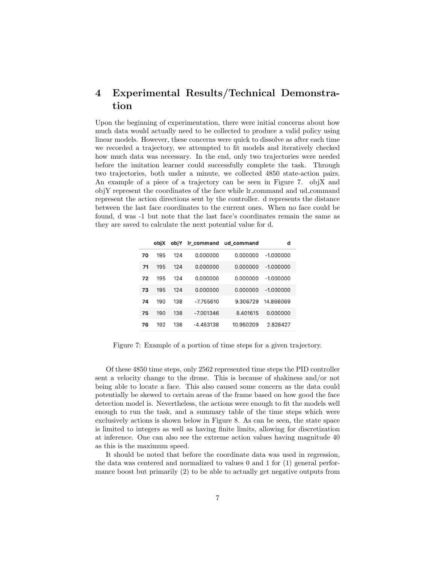## 4 Experimental Results/Technical Demonstration

Upon the beginning of experimentation, there were initial concerns about how much data would actually need to be collected to produce a valid policy using linear models. However, these concerns were quick to dissolve as after each time we recorded a trajectory, we attempted to fit models and iteratively checked how much data was necessary. In the end, only two trajectories were needed before the imitation learner could successfully complete the task. Through two trajectories, both under a minute, we collected 4850 state-action pairs. An example of a piece of a trajectory can be seen in Figure 7. objX and objY represent the coordinates of the face while lr command and ud command represent the action directions sent by the controller. d represents the distance between the last face coordinates to the current ones. When no face could be found, d was -1 but note that the last face's coordinates remain the same as they are saved to calculate the next potential value for d.

|    | objX | obiY | Ir_command  | ud command | d           |
|----|------|------|-------------|------------|-------------|
| 70 | 195  | 124  | 0.000000    | 0.000000   | $-1.000000$ |
| 71 | 195  | 124  | 0.000000    | 0.000000   | $-1.000000$ |
| 72 | 195  | 124  | 0.000000    | 0.000000   | $-1.000000$ |
| 73 | 195  | 124  | 0.000000    | 0.000000   | $-1.000000$ |
| 74 | 190  | 138  | $-7.755610$ | 9.306729   | 14.866069   |
| 75 | 190  | 138  | $-7.001346$ | 8.401615   | 0.000000    |
| 76 | 192  | 136  | $-4.453138$ | 10.950209  | 2.828427    |
|    |      |      |             |            |             |

Figure 7: Example of a portion of time steps for a given trajectory.

Of these 4850 time steps, only 2562 represented time steps the PID controller sent a velocity change to the drone. This is because of shakiness and/or not being able to locate a face. This also caused some concern as the data could potentially be skewed to certain areas of the frame based on how good the face detection model is. Nevertheless, the actions were enough to fit the models well enough to run the task, and a summary table of the time steps which were exclusively actions is shown below in Figure 8. As can be seen, the state space is limited to integers as well as having finite limits, allowing for discretization at inference. One can also see the extreme action values having magnitude 40 as this is the maximum speed.

It should be noted that before the coordinate data was used in regression, the data was centered and normalized to values 0 and 1 for (1) general performance boost but primarily (2) to be able to actually get negative outputs from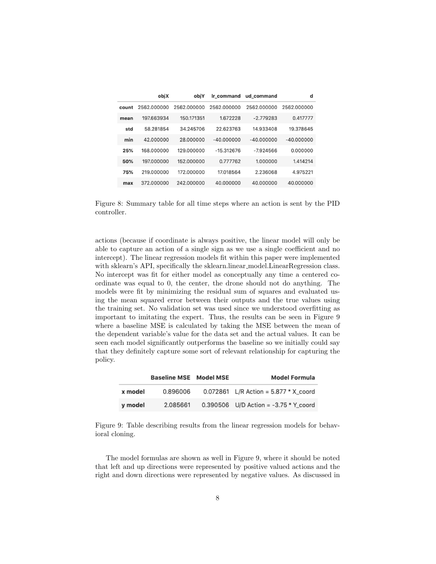|  |       | obiX        | obiY        | Ir command   | ud_command   | d            |
|--|-------|-------------|-------------|--------------|--------------|--------------|
|  | count | 2562.000000 | 2562.000000 | 2562.000000  | 2562.000000  | 2562.000000  |
|  | mean  | 197.663934  | 150.171351  | 1.672228     | $-2.779283$  | 0.417777     |
|  | std   | 58.281854   | 34.245706   | 22.623763    | 14.933408    | 19.378645    |
|  | min   | 42.000000   | 28.000000   | $-40.000000$ | $-40.000000$ | $-40.000000$ |
|  | 25%   | 168,000000  | 129,000000  | $-15.312676$ | $-7.924566$  | 0.000000     |
|  | 50%   | 197,000000  | 152,000000  | 0.777762     | 1.000000     | 1.414214     |
|  | 75%   | 219,000000  | 172.000000  | 17.018564    | 2.236068     | 4.975221     |
|  | max   | 372.000000  | 242.000000  | 40.000000    | 40.000000    | 40.000000    |

Figure 8: Summary table for all time steps where an action is sent by the PID controller.

actions (because if coordinate is always positive, the linear model will only be able to capture an action of a single sign as we use a single coefficient and no intercept). The linear regression models fit within this paper were implemented with sklearn's API, specifically the sklearn.linear\_model.LinearRegression class. No intercept was fit for either model as conceptually any time a centered coordinate was equal to 0, the center, the drone should not do anything. The models were fit by minimizing the residual sum of squares and evaluated using the mean squared error between their outputs and the true values using the training set. No validation set was used since we understood overfitting as important to imitating the expert. Thus, the results can be seen in Figure 9 where a baseline MSE is calculated by taking the MSE between the mean of the dependent variable's value for the data set and the actual values. It can be seen each model significantly outperforms the baseline so we initially could say that they definitely capture some sort of relevant relationship for capturing the policy.

|         | <b>Baseline MSE</b> Model MSE | <b>Model Formula</b>                    |
|---------|-------------------------------|-----------------------------------------|
| x model | 0.896006                      | 0.072861 L/R Action = $5.877 * X$ coord |
| y model | 2.085661                      | 0.390506 U/D Action = $-3.75 * Y$ coord |

Figure 9: Table describing results from the linear regression models for behavioral cloning.

The model formulas are shown as well in Figure 9, where it should be noted that left and up directions were represented by positive valued actions and the right and down directions were represented by negative values. As discussed in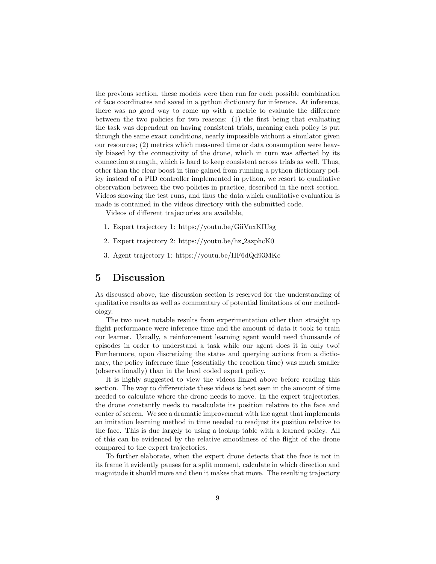the previous section, these models were then run for each possible combination of face coordinates and saved in a python dictionary for inference. At inference, there was no good way to come up with a metric to evaluate the difference between the two policies for two reasons: (1) the first being that evaluating the task was dependent on having consistent trials, meaning each policy is put through the same exact conditions, nearly impossible without a simulator given our resources; (2) metrics which measured time or data consumption were heavily biased by the connectivity of the drone, which in turn was affected by its connection strength, which is hard to keep consistent across trials as well. Thus, other than the clear boost in time gained from running a python dictionary policy instead of a PID controller implemented in python, we resort to qualitative observation between the two policies in practice, described in the next section. Videos showing the test runs, and thus the data which qualitative evaluation is made is contained in the videos directory with the submitted code.

Videos of different trajectories are available,

- 1. Expert trajectory 1: https://youtu.be/GiiVuxKIUsg
- 2. Expert trajectory 2: https://youtu.be/hz 2azphcK0
- 3. Agent trajectory 1: https://youtu.be/HF6dQd93MKc

#### 5 Discussion

As discussed above, the discussion section is reserved for the understanding of qualitative results as well as commentary of potential limitations of our methodology.

The two most notable results from experimentation other than straight up flight performance were inference time and the amount of data it took to train our learner. Usually, a reinforcement learning agent would need thousands of episodes in order to understand a task while our agent does it in only two! Furthermore, upon discretizing the states and querying actions from a dictionary, the policy inference time (essentially the reaction time) was much smaller (observationally) than in the hard coded expert policy.

It is highly suggested to view the videos linked above before reading this section. The way to differentiate these videos is best seen in the amount of time needed to calculate where the drone needs to move. In the expert trajectories, the drone constantly needs to recalculate its position relative to the face and center of screen. We see a dramatic improvement with the agent that implements an imitation learning method in time needed to readjust its position relative to the face. This is due largely to using a lookup table with a learned policy. All of this can be evidenced by the relative smoothness of the flight of the drone compared to the expert trajectories.

To further elaborate, when the expert drone detects that the face is not in its frame it evidently pauses for a split moment, calculate in which direction and magnitude it should move and then it makes that move. The resulting trajectory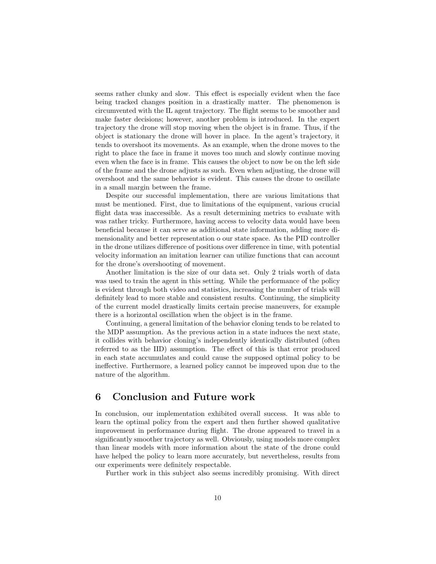seems rather clunky and slow. This effect is especially evident when the face being tracked changes position in a drastically matter. The phenomenon is circumvented with the IL agent trajectory. The flight seems to be smoother and make faster decisions; however, another problem is introduced. In the expert trajectory the drone will stop moving when the object is in frame. Thus, if the object is stationary the drone will hover in place. In the agent's trajectory, it tends to overshoot its movements. As an example, when the drone moves to the right to place the face in frame it moves too much and slowly continue moving even when the face is in frame. This causes the object to now be on the left side of the frame and the drone adjusts as such. Even when adjusting, the drone will overshoot and the same behavior is evident. This causes the drone to oscillate in a small margin between the frame.

Despite our successful implementation, there are various limitations that must be mentioned. First, due to limitations of the equipment, various crucial flight data was inaccessible. As a result determining metrics to evaluate with was rather tricky. Furthermore, having access to velocity data would have been beneficial because it can serve as additional state information, adding more dimensionality and better representation o our state space. As the PID controller in the drone utilizes difference of positions over difference in time, with potential velocity information an imitation learner can utilize functions that can account for the drone's overshooting of movement.

Another limitation is the size of our data set. Only 2 trials worth of data was used to train the agent in this setting. While the performance of the policy is evident through both video and statistics, increasing the number of trials will definitely lead to more stable and consistent results. Continuing, the simplicity of the current model drastically limits certain precise maneuvers, for example there is a horizontal oscillation when the object is in the frame.

Continuing, a general limitation of the behavior cloning tends to be related to the MDP assumption. As the previous action in a state induces the next state, it collides with behavior cloning's independently identically distributed (often referred to as the IID) assumption. The effect of this is that error produced in each state accumulates and could cause the supposed optimal policy to be ineffective. Furthermore, a learned policy cannot be improved upon due to the nature of the algorithm.

### 6 Conclusion and Future work

In conclusion, our implementation exhibited overall success. It was able to learn the optimal policy from the expert and then further showed qualitative improvement in performance during flight. The drone appeared to travel in a significantly smoother trajectory as well. Obviously, using models more complex than linear models with more information about the state of the drone could have helped the policy to learn more accurately, but nevertheless, results from our experiments were definitely respectable.

Further work in this subject also seems incredibly promising. With direct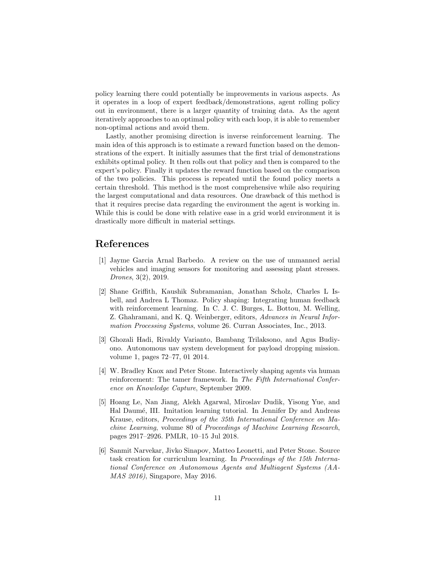policy learning there could potentially be improvements in various aspects. As it operates in a loop of expert feedback/demonstrations, agent rolling policy out in environment, there is a larger quantity of training data. As the agent iteratively approaches to an optimal policy with each loop, it is able to remember non-optimal actions and avoid them.

Lastly, another promising direction is inverse reinforcement learning. The main idea of this approach is to estimate a reward function based on the demonstrations of the expert. It initially assumes that the first trial of demonstrations exhibits optimal policy. It then rolls out that policy and then is compared to the expert's policy. Finally it updates the reward function based on the comparison of the two policies. This process is repeated until the found policy meets a certain threshold. This method is the most comprehensive while also requiring the largest computational and data resources. One drawback of this method is that it requires precise data regarding the environment the agent is working in. While this is could be done with relative ease in a grid world environment it is drastically more difficult in material settings.

### References

- [1] Jayme Garcia Arnal Barbedo. A review on the use of unmanned aerial vehicles and imaging sensors for monitoring and assessing plant stresses. Drones, 3(2), 2019.
- [2] Shane Griffith, Kaushik Subramanian, Jonathan Scholz, Charles L Isbell, and Andrea L Thomaz. Policy shaping: Integrating human feedback with reinforcement learning. In C. J. C. Burges, L. Bottou, M. Welling, Z. Ghahramani, and K. Q. Weinberger, editors, Advances in Neural Information Processing Systems, volume 26. Curran Associates, Inc., 2013.
- [3] Ghozali Hadi, Rivaldy Varianto, Bambang Trilaksono, and Agus Budiyono. Autonomous uav system development for payload dropping mission. volume 1, pages 72–77, 01 2014.
- [4] W. Bradley Knox and Peter Stone. Interactively shaping agents via human reinforcement: The tamer framework. In The Fifth International Conference on Knowledge Capture, September 2009.
- [5] Hoang Le, Nan Jiang, Alekh Agarwal, Miroslav Dudik, Yisong Yue, and Hal Daumé, III. Imitation learning tutorial. In Jennifer Dy and Andreas Krause, editors, Proceedings of the 35th International Conference on Machine Learning, volume 80 of Proceedings of Machine Learning Research, pages 2917–2926. PMLR, 10–15 Jul 2018.
- [6] Sanmit Narvekar, Jivko Sinapov, Matteo Leonetti, and Peter Stone. Source task creation for curriculum learning. In Proceedings of the 15th International Conference on Autonomous Agents and Multiagent Systems (AA-MAS 2016), Singapore, May 2016.